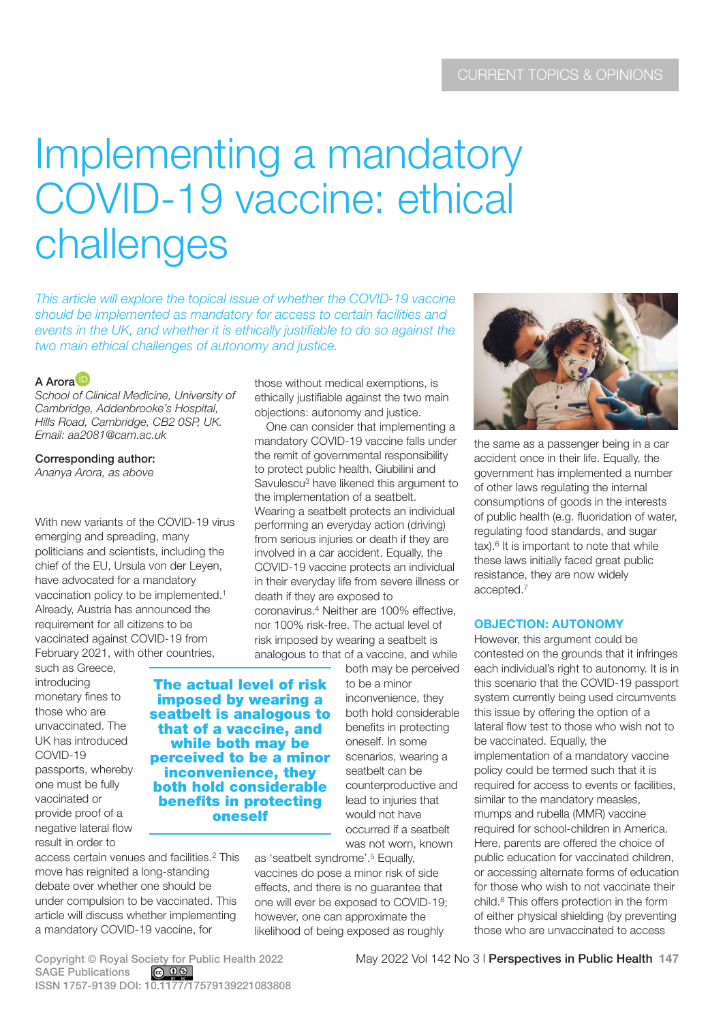# Implementing a mandatory COVID-19 vaccine: ethical challenges

*This article will explore the topical issue of whether the COVID-19 vaccine should be implemented as mandatory for access to certain facilities and*  events in the UK, and whether it is ethically justifiable to do so against the *two main ethical challenges of autonomy and justice.*

# A Arora<sup>D</sup>

*School of Clinical Medicine, University of Cambridge, Addenbrooke's Hospital, Hills Road, Cambridge, CB2 0SP, UK. Email: [aa2081@cam.ac.uk](mailto:aa2081@cam.ac.uk)*

Corresponding author:

*Ananya Arora, as above*

With new variants of the COVID-19 virus emerging and spreading, many politicians and scientists, including the chief of the EU, Ursula von der Leyen, have advocated for a mandatory vaccination policy to be implemented.1 Already, Austria has announced the requirement for all citizens to be vaccinated against COVID-19 from February 2021, with other countries,

such as Greece, introducing monetary fines to those who are unvaccinated. The UK has introduced COVID-19 passports, whereby one must be fully vaccinated or provide proof of a negative lateral flow result in order to

The actual level of risk imposed by wearing a seatbelt is analogous to that of a vaccine, and while both may be perceived to be a minor inconvenience, they both hold considerable benefits in protecting oneself

access certain venues and facilities.2 This move has reignited a long-standing debate over whether one should be under compulsion to be vaccinated. This article will discuss whether implementing a mandatory COVID-19 vaccine, for

those without medical exemptions, is ethically justifiable against the two main objections: autonomy and justice.

One can consider that implementing a mandatory COVID-19 vaccine falls under the remit of governmental responsibility to protect public health. Giubilini and Savulescu<sup>3</sup> have likened this argument to the implementation of a seatbelt. Wearing a seatbelt protects an individual performing an everyday action (driving) from serious injuries or death if they are involved in a car accident. Equally, the COVID-19 vaccine protects an individual in their everyday life from severe illness or death if they are exposed to coronavirus.4 Neither are 100% effective, nor 100% risk-free. The actual level of risk imposed by wearing a seatbelt is analogous to that of a vaccine, and while

> both may be perceived to be a minor inconvenience, they both hold considerable benefits in protecting oneself. In some scenarios, wearing a seatbelt can be counterproductive and lead to injuries that would not have occurred if a seatbelt was not worn, known

as 'seatbelt syndrome'.5 Equally, vaccines do pose a minor risk of side effects, and there is no guarantee that one will ever be exposed to COVID-19; however, one can approximate the likelihood of being exposed as roughly



the same as a passenger being in a car accident once in their life. Equally, the government has implemented a number of other laws regulating the internal consumptions of goods in the interests of public health (e.g. fluoridation of water, regulating food standards, and sugar tax).<sup>6</sup> It is important to note that while these laws initially faced great public resistance, they are now widely accepted.7

# **OBJECTION: AUTONOMY**

However, this argument could be contested on the grounds that it infringes each individual's right to autonomy. It is in this scenario that the COVID-19 passport system currently being used circumvents this issue by offering the option of a lateral flow test to those who wish not to be vaccinated. Equally, the implementation of a mandatory vaccine policy could be termed such that it is required for access to events or facilities, similar to the mandatory measles, mumps and rubella (MMR) vaccine required for school-children in America. Here, parents are offered the choice of public education for vaccinated children, or accessing alternate forms of education for those who wish to not vaccinate their child.8 This offers protection in the form of either physical shielding (by preventing those who are unvaccinated to access

SAGE Publications ISSN 1757-9139 DOI: 10.1177/17579139221083808

Copyright © Royal Society for Public Health 2022 May 2022 Vol 142 No 3 l Perspectives in Public Health 147